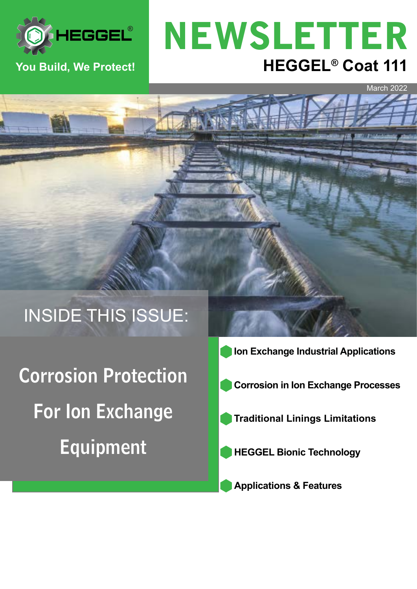

# **You Build, We Protect! HEGGEL® Coat 111** NEWSLETTER

March 2022

# INSIDE THIS ISSUE:

Corrosion Protection For Ion Exchange Equipment

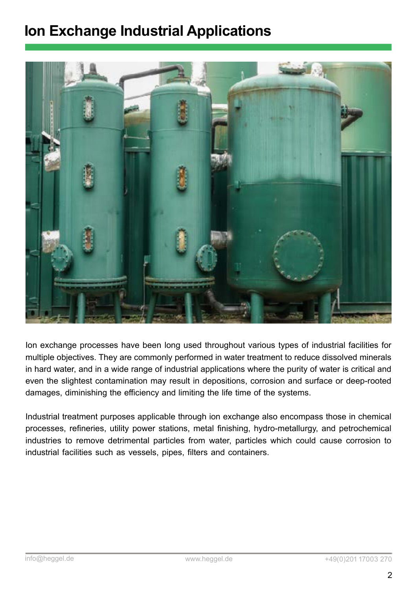# **Ion Exchange Industrial Applications**



Ion exchange processes have been long used throughout various types of industrial facilities for multiple objectives. They are commonly performed in water treatment to reduce dissolved minerals in hard water, and in a wide range of industrial applications where the purity of water is critical and even the slightest contamination may result in depositions, corrosion and surface or deep-rooted damages, diminishing the efficiency and limiting the life time of the systems.

Industrial treatment purposes applicable through ion exchange also encompass those in chemical processes, refineries, utility power stations, metal finishing, hydro-metallurgy, and petrochemical industries to remove detrimental particles from water, particles which could cause corrosion to industrial facilities such as vessels, pipes, filters and containers.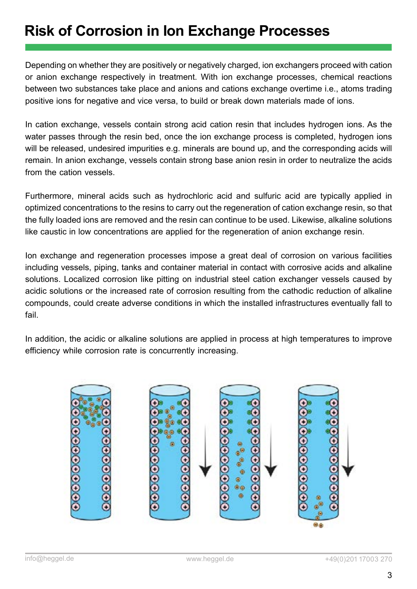# **Risk of Corrosion in Ion Exchange Processes**

Depending on whether they are positively or negatively charged, ion exchangers proceed with cation or anion exchange respectively in treatment. With ion exchange processes, chemical reactions between two substances take place and anions and cations exchange overtime i.e., atoms trading positive ions for negative and vice versa, to build or break down materials made of ions.

In cation exchange, vessels contain strong acid cation resin that includes hydrogen ions. As the water passes through the resin bed, once the ion exchange process is completed, hydrogen ions will be released, undesired impurities e.g. minerals are bound up, and the corresponding acids will remain. In anion exchange, vessels contain strong base anion resin in order to neutralize the acids from the cation vessels.

Furthermore, mineral acids such as hydrochloric acid and sulfuric acid are typically applied in optimized concentrations to the resins to carry out the regeneration of cation exchange resin, so that the fully loaded ions are removed and the resin can continue to be used. Likewise, alkaline solutions like caustic in low concentrations are applied for the regeneration of anion exchange resin.

Ion exchange and regeneration processes impose a great deal of corrosion on various facilities including vessels, piping, tanks and container material in contact with corrosive acids and alkaline solutions. Localized corrosion like pitting on industrial steel cation exchanger vessels caused by acidic solutions or the increased rate of corrosion resulting from the cathodic reduction of alkaline compounds, could create adverse conditions in which the installed infrastructures eventually fall to fail.

In addition, the acidic or alkaline solutions are applied in process at high temperatures to improve efficiency while corrosion rate is concurrently increasing.

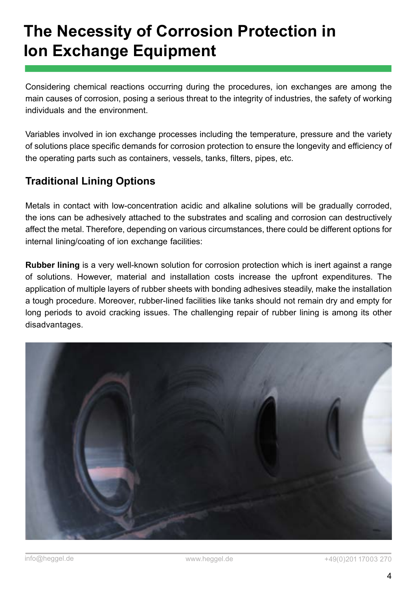# **The Necessity of Corrosion Protection in Ion Exchange Equipment**

Considering chemical reactions occurring during the procedures, ion exchanges are among the main causes of corrosion, posing a serious threat to the integrity of industries, the safety of working individuals and the environment.

Variables involved in ion exchange processes including the temperature, pressure and the variety of solutions place specific demands for corrosion protection to ensure the longevity and efficiency of the operating parts such as containers, vessels, tanks, filters, pipes, etc.

### **Traditional Lining Options**

Metals in contact with low-concentration acidic and alkaline solutions will be gradually corroded, the ions can be adhesively attached to the substrates and scaling and corrosion can destructively affect the metal. Therefore, depending on various circumstances, there could be different options for internal lining/coating of ion exchange facilities:

**Rubber lining** is a very well-known solution for corrosion protection which is inert against a range of solutions. However, material and installation costs increase the upfront expenditures. The application of multiple layers of rubber sheets with bonding adhesives steadily, make the installation a tough procedure. Moreover, rubber-lined facilities like tanks should not remain dry and empty for long periods to avoid cracking issues. The challenging repair of rubber lining is among its other disadvantages.

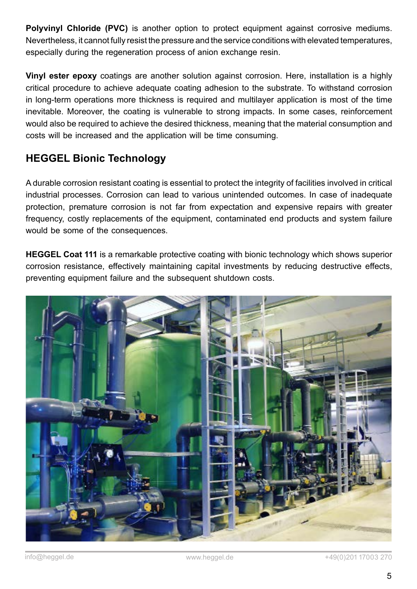**Polyvinyl Chloride (PVC)** is another option to protect equipment against corrosive mediums. Nevertheless, it cannot fully resist the pressure and the service conditions with elevated temperatures, especially during the regeneration process of anion exchange resin.

**Vinyl ester epoxy** coatings are another solution against corrosion. Here, installation is a highly critical procedure to achieve adequate coating adhesion to the substrate. To withstand corrosion in long-term operations more thickness is required and multilayer application is most of the time inevitable. Moreover, the coating is vulnerable to strong impacts. In some cases, reinforcement would also be required to achieve the desired thickness, meaning that the material consumption and costs will be increased and the application will be time consuming.

### **HEGGEL Bionic Technology**

A durable corrosion resistant coating is essential to protect the integrity of facilities involved in critical industrial processes. Corrosion can lead to various unintended outcomes. In case of inadequate protection, premature corrosion is not far from expectation and expensive repairs with greater frequency, costly replacements of the equipment, contaminated end products and system failure would be some of the consequences.

**HEGGEL Coat 111** is a remarkable protective coating with bionic technology which shows superior corrosion resistance, effectively maintaining capital investments by reducing destructive effects, preventing equipment failure and the subsequent shutdown costs.

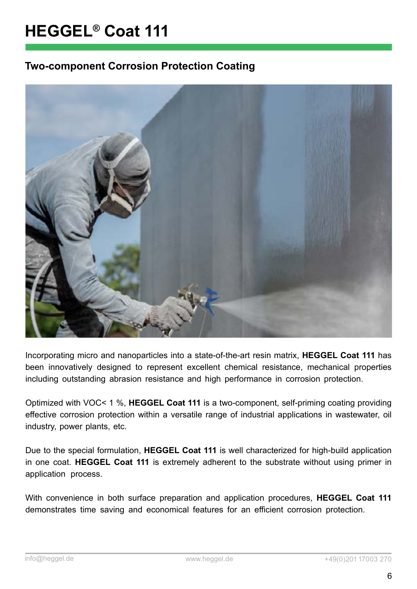#### **Two-component Corrosion Protection Coating**



Incorporating micro and nanoparticles into a state-of-the-art resin matrix, **HEGGEL Coat 111** has been innovatively designed to represent excellent chemical resistance, mechanical properties including outstanding abrasion resistance and high performance in corrosion protection.

Optimized with VOC< 1 %, **HEGGEL Coat 111** is a two-component, self-priming coating providing effective corrosion protection within a versatile range of industrial applications in wastewater, oil industry, power plants, etc.

Due to the special formulation, **HEGGEL Coat 111** is well characterized for high-build application in one coat. **HEGGEL Coat 111** is extremely adherent to the substrate without using primer in application process.

With convenience in both surface preparation and application procedures, **HEGGEL Coat 111**  demonstrates time saving and economical features for an efficient corrosion protection.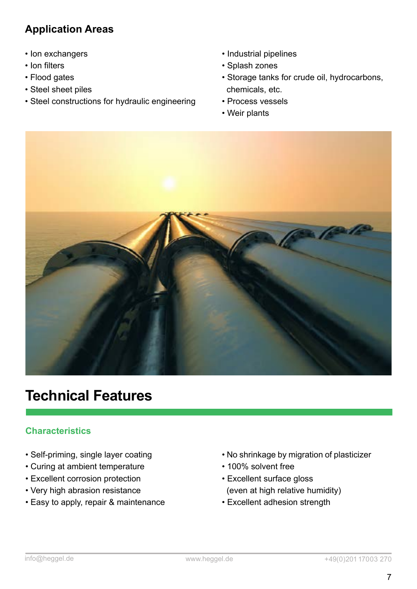### **Application Areas**

- Ion exchangers
- Ion filters
- Flood gates
- Steel sheet piles
- Steel constructions for hydraulic engineering
- Industrial pipelines
- Splash zones
- Storage tanks for crude oil, hydrocarbons, chemicals, etc.
- Process vessels
- Weir plants



### **Technical Features**

#### **Characteristics**

- Self-priming, single layer coating
- Curing at ambient temperature
- Excellent corrosion protection
- Very high abrasion resistance
- Easy to apply, repair & maintenance
- No shrinkage by migration of plasticizer
- 100% solvent free
- Excellent surface gloss
- (even at high relative humidity)
- Excellent adhesion strength